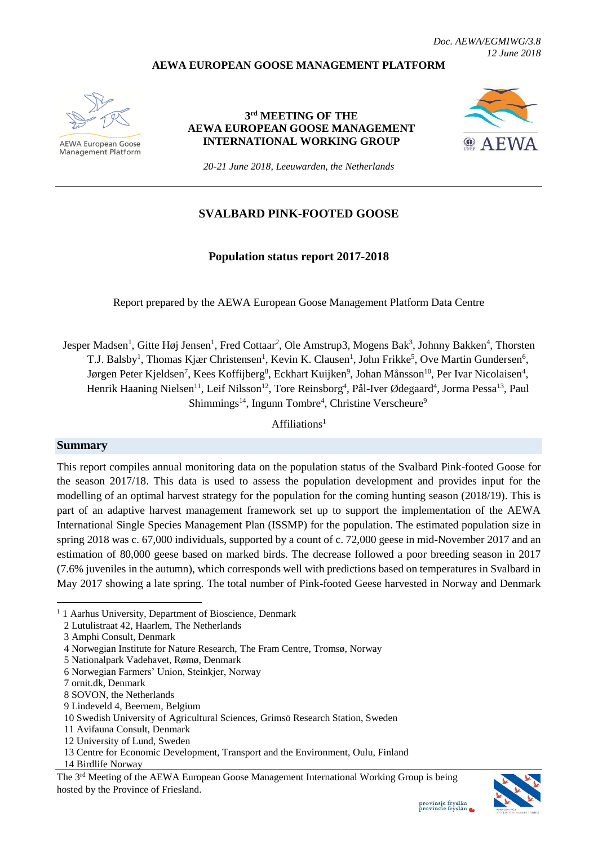*Doc. AEWA/EGMIWG/3.8 12 June 2018*

#### **AEWA EUROPEAN GOOSE MANAGEMENT PLATFORM**



**AEWA European Goose Management Platform** 

### **3 rd MEETING OF THE AEWA EUROPEAN GOOSE MANAGEMENT INTERNATIONAL WORKING GROUP**



*20-21 June 2018, Leeuwarden, the Netherlands*

## **SVALBARD PINK-FOOTED GOOSE**

## **Population status report 2017-2018**

Report prepared by the AEWA European Goose Management Platform Data Centre

Jesper Madsen<sup>1</sup>, Gitte Høj Jensen<sup>1</sup>, Fred Cottaar<sup>2</sup>, Ole Amstrup3, Mogens Bak<sup>3</sup>, Johnny Bakken<sup>4</sup>, Thorsten T.J. Balsby<sup>1</sup>, Thomas Kjær Christensen<sup>1</sup>, Kevin K. Clausen<sup>1</sup>, John Frikke<sup>5</sup>, Ove Martin Gundersen<sup>6</sup>, Jørgen Peter Kjeldsen<sup>7</sup>, Kees Koffijberg<sup>8</sup>, Eckhart Kuijken<sup>9</sup>, Johan Månsson<sup>10</sup>, Per Ivar Nicolaisen<sup>4</sup>, Henrik Haaning Nielsen<sup>11</sup>, Leif Nilsson<sup>12</sup>, Tore Reinsborg<sup>4</sup>, Pål-Iver Ødegaard<sup>4</sup>, Jorma Pessa<sup>13</sup>, Paul Shimmings<sup>14</sup>, Ingunn Tombre<sup>4</sup>, Christine Verscheure<sup>9</sup>

 $Affiliations<sup>1</sup>$ 

#### **Summary**

**.** 

This report compiles annual monitoring data on the population status of the Svalbard Pink-footed Goose for the season 2017/18. This data is used to assess the population development and provides input for the modelling of an optimal harvest strategy for the population for the coming hunting season (2018/19). This is part of an adaptive harvest management framework set up to support the implementation of the AEWA International Single Species Management Plan (ISSMP) for the population. The estimated population size in spring 2018 was c. 67,000 individuals, supported by a count of c. 72,000 geese in mid-November 2017 and an estimation of 80,000 geese based on marked birds. The decrease followed a poor breeding season in 2017 (7.6% juveniles in the autumn), which corresponds well with predictions based on temperatures in Svalbard in May 2017 showing a late spring. The total number of Pink-footed Geese harvested in Norway and Denmark

The 3rd Meeting of the AEWA European Goose Management International Working Group is being hosted by the Province of Friesland.



<sup>&</sup>lt;sup>1</sup> 1 Aarhus University, Department of Bioscience, Denmark

<sup>2</sup> Lutulistraat 42, Haarlem, The Netherlands

<sup>3</sup> Amphi Consult, Denmark

<sup>4</sup> Norwegian Institute for Nature Research, The Fram Centre, Tromsø, Norway

<sup>5</sup> Nationalpark Vadehavet, Rømø, Denmark

<sup>6</sup> Norwegian Farmers' Union, Steinkjer, Norway

<sup>7</sup> ornit.dk, Denmark

<sup>8</sup> SOVON, the Netherlands

<sup>9</sup> Lindeveld 4, Beernem, Belgium

<sup>10</sup> Swedish University of Agricultural Sciences, Grimsö Research Station, Sweden

<sup>11</sup> Avifauna Consult, Denmark

<sup>12</sup> University of Lund, Sweden

<sup>13</sup> Centre for Economic Development, Transport and the Environment, Oulu, Finland

<sup>14</sup> Birdlife Norway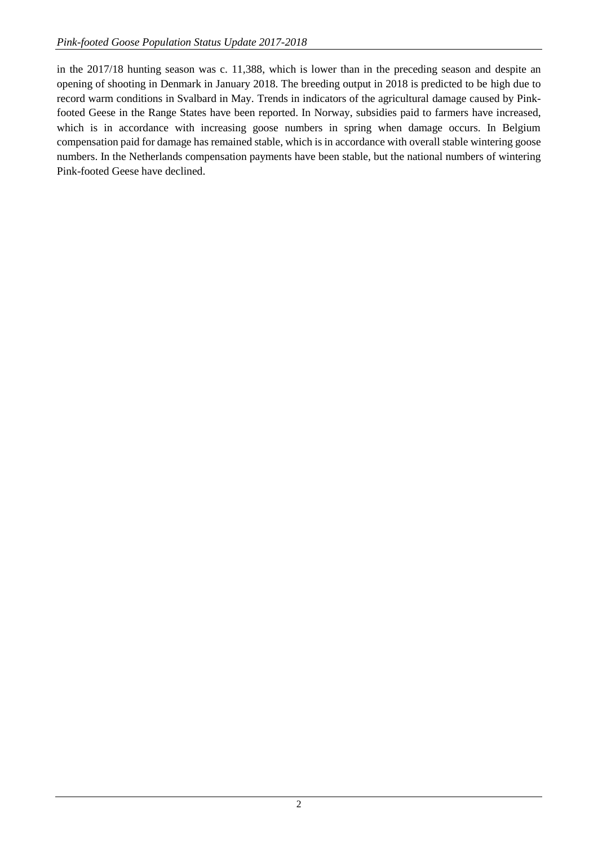in the 2017/18 hunting season was c. 11,388, which is lower than in the preceding season and despite an opening of shooting in Denmark in January 2018. The breeding output in 2018 is predicted to be high due to record warm conditions in Svalbard in May. Trends in indicators of the agricultural damage caused by Pinkfooted Geese in the Range States have been reported. In Norway, subsidies paid to farmers have increased, which is in accordance with increasing goose numbers in spring when damage occurs. In Belgium compensation paid for damage has remained stable, which is in accordance with overall stable wintering goose numbers. In the Netherlands compensation payments have been stable, but the national numbers of wintering Pink-footed Geese have declined.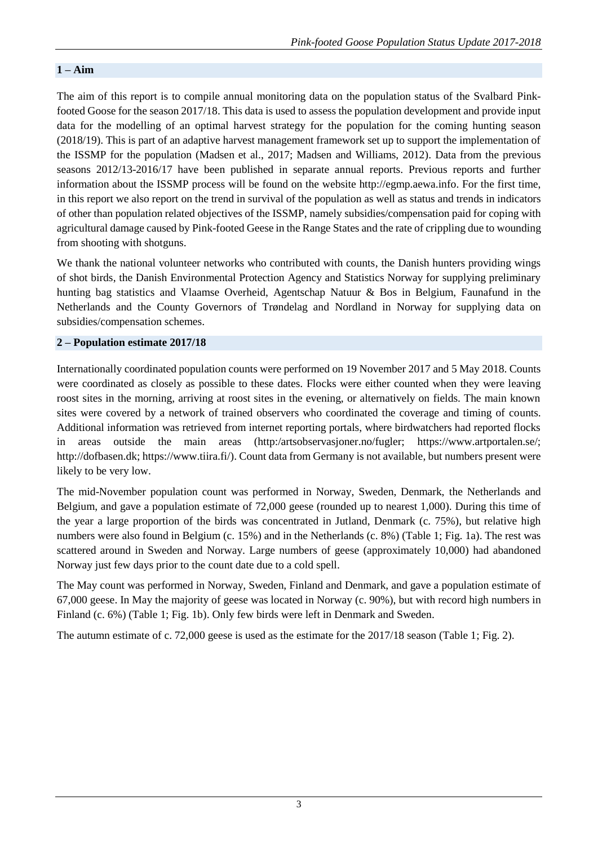# **1 – Aim**

The aim of this report is to compile annual monitoring data on the population status of the Svalbard Pinkfooted Goose for the season 2017/18. This data is used to assess the population development and provide input data for the modelling of an optimal harvest strategy for the population for the coming hunting season (2018/19). This is part of an adaptive harvest management framework set up to support the implementation of the ISSMP for the population (Madsen et al., 2017; Madsen and Williams, 2012). Data from the previous seasons 2012/13-2016/17 have been published in separate annual reports. Previous reports and further information about the ISSMP process will be found on the website http://egmp.aewa.info. For the first time, in this report we also report on the trend in survival of the population as well as status and trends in indicators of other than population related objectives of the ISSMP, namely subsidies/compensation paid for coping with agricultural damage caused by Pink-footed Geese in the Range States and the rate of crippling due to wounding from shooting with shotguns.

We thank the national volunteer networks who contributed with counts, the Danish hunters providing wings of shot birds, the Danish Environmental Protection Agency and Statistics Norway for supplying preliminary hunting bag statistics and Vlaamse Overheid, Agentschap Natuur & Bos in Belgium, Faunafund in the Netherlands and the County Governors of Trøndelag and Nordland in Norway for supplying data on subsidies/compensation schemes.

### **2 – Population estimate 2017/18**

Internationally coordinated population counts were performed on 19 November 2017 and 5 May 2018. Counts were coordinated as closely as possible to these dates. Flocks were either counted when they were leaving roost sites in the morning, arriving at roost sites in the evening, or alternatively on fields. The main known sites were covered by a network of trained observers who coordinated the coverage and timing of counts. Additional information was retrieved from internet reporting portals, where birdwatchers had reported flocks in areas outside the main areas (http:/artsobservasjoner.no/fugler; https://www.artportalen.se/; http://dofbasen.dk; https://www.tiira.fi/). Count data from Germany is not available, but numbers present were likely to be very low.

The mid-November population count was performed in Norway, Sweden, Denmark, the Netherlands and Belgium, and gave a population estimate of 72,000 geese (rounded up to nearest 1,000). During this time of the year a large proportion of the birds was concentrated in Jutland, Denmark (c. 75%), but relative high numbers were also found in Belgium (c. 15%) and in the Netherlands (c. 8%) (Table 1; Fig. 1a). The rest was scattered around in Sweden and Norway. Large numbers of geese (approximately 10,000) had abandoned Norway just few days prior to the count date due to a cold spell.

The May count was performed in Norway, Sweden, Finland and Denmark, and gave a population estimate of 67,000 geese. In May the majority of geese was located in Norway (c. 90%), but with record high numbers in Finland (c. 6%) (Table 1; Fig. 1b). Only few birds were left in Denmark and Sweden.

The autumn estimate of c. 72,000 geese is used as the estimate for the 2017/18 season (Table 1; Fig. 2).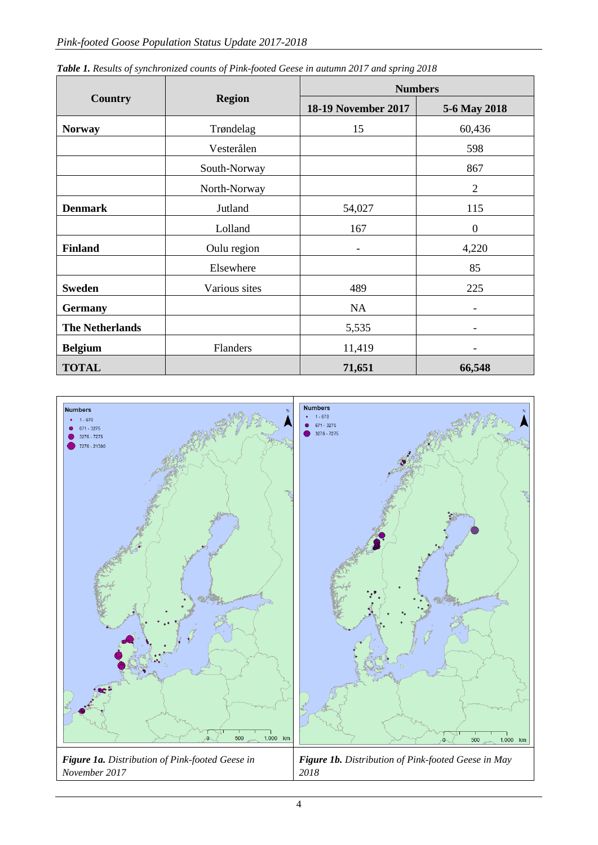|                                  |               |                            | <b>Numbers</b>           |  |  |  |  |
|----------------------------------|---------------|----------------------------|--------------------------|--|--|--|--|
| <b>Country</b>                   | <b>Region</b> | <b>18-19 November 2017</b> | 5-6 May 2018             |  |  |  |  |
| <b>Norway</b>                    | Trøndelag     | 15                         | 60,436                   |  |  |  |  |
|                                  | Vesterålen    |                            | 598                      |  |  |  |  |
|                                  | South-Norway  |                            | 867                      |  |  |  |  |
|                                  | North-Norway  |                            | $\overline{2}$           |  |  |  |  |
| <b>Denmark</b><br><b>Finland</b> | Jutland       | 54,027                     | 115                      |  |  |  |  |
|                                  | Lolland       | 167                        | $\boldsymbol{0}$         |  |  |  |  |
|                                  | Oulu region   | $\overline{\phantom{a}}$   | 4,220                    |  |  |  |  |
|                                  | Elsewhere     |                            | 85                       |  |  |  |  |
| <b>Sweden</b>                    | Various sites | 489                        | 225                      |  |  |  |  |
| <b>Germany</b>                   |               | <b>NA</b>                  | $\overline{\phantom{0}}$ |  |  |  |  |
| <b>The Netherlands</b>           |               | 5,535                      | $\overline{\phantom{a}}$ |  |  |  |  |
| <b>Belgium</b>                   | Flanders      | 11,419                     |                          |  |  |  |  |
| <b>TOTAL</b>                     |               | 71,651                     | 66,548                   |  |  |  |  |

*Table 1. Results of synchronized counts of Pink-footed Geese in autumn 2017 and spring 2018*

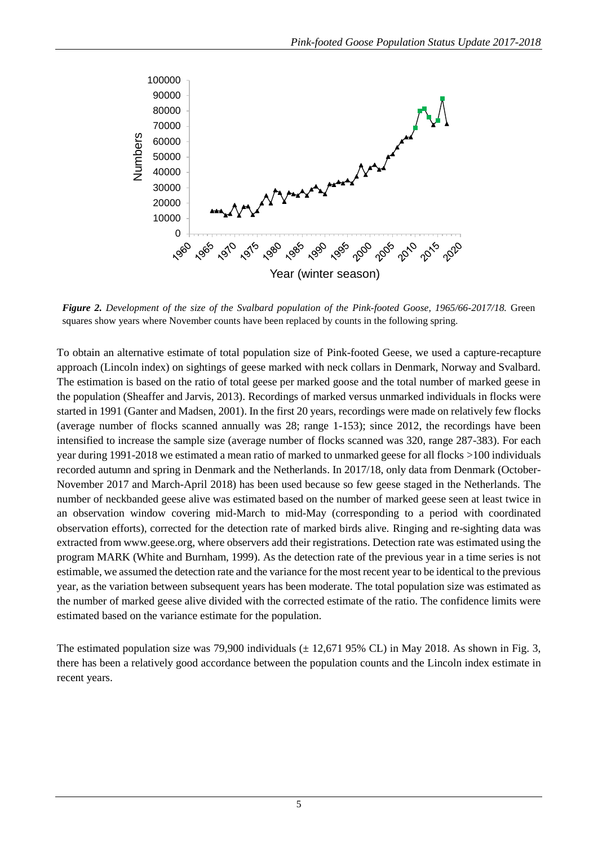

*Figure 2. Development of the size of the Svalbard population of the Pink-footed Goose, 1965/66-2017/18.* Green squares show years where November counts have been replaced by counts in the following spring.

To obtain an alternative estimate of total population size of Pink-footed Geese, we used a capture-recapture approach (Lincoln index) on sightings of geese marked with neck collars in Denmark, Norway and Svalbard. The estimation is based on the ratio of total geese per marked goose and the total number of marked geese in the population (Sheaffer and Jarvis, 2013). Recordings of marked versus unmarked individuals in flocks were started in 1991 (Ganter and Madsen, 2001). In the first 20 years, recordings were made on relatively few flocks (average number of flocks scanned annually was 28; range 1-153); since 2012, the recordings have been intensified to increase the sample size (average number of flocks scanned was 320, range 287-383). For each year during 1991-2018 we estimated a mean ratio of marked to unmarked geese for all flocks >100 individuals recorded autumn and spring in Denmark and the Netherlands. In 2017/18, only data from Denmark (October-November 2017 and March-April 2018) has been used because so few geese staged in the Netherlands. The number of neckbanded geese alive was estimated based on the number of marked geese seen at least twice in an observation window covering mid-March to mid-May (corresponding to a period with coordinated observation efforts), corrected for the detection rate of marked birds alive. Ringing and re-sighting data was extracted from [www.geese.org,](http://www.geese.org/) where observers add their registrations. Detection rate was estimated using the program MARK (White and Burnham, 1999). As the detection rate of the previous year in a time series is not estimable, we assumed the detection rate and the variance for the most recent year to be identical to the previous year, as the variation between subsequent years has been moderate. The total population size was estimated as the number of marked geese alive divided with the corrected estimate of the ratio. The confidence limits were estimated based on the variance estimate for the population.

The estimated population size was 79,900 individuals  $(\pm 12,671,95\%$  CL) in May 2018. As shown in Fig. 3, there has been a relatively good accordance between the population counts and the Lincoln index estimate in recent years.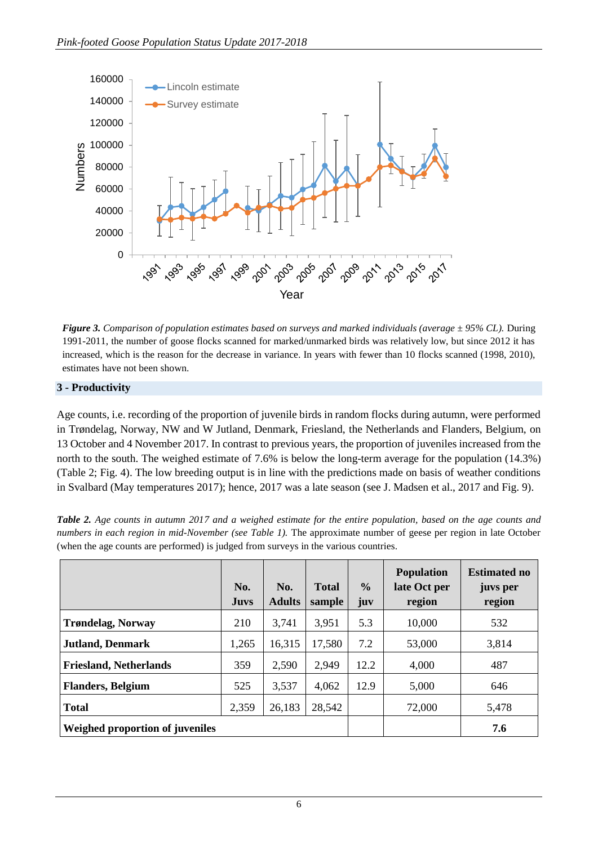

*Figure 3. Comparison of population estimates based on surveys and marked individuals (average ± 95% CL).* During 1991-2011, the number of goose flocks scanned for marked/unmarked birds was relatively low, but since 2012 it has increased, which is the reason for the decrease in variance. In years with fewer than 10 flocks scanned (1998, 2010), estimates have not been shown.

# **3 - Productivity**

Age counts, i.e. recording of the proportion of juvenile birds in random flocks during autumn, were performed in Trøndelag, Norway, NW and W Jutland, Denmark, Friesland, the Netherlands and Flanders, Belgium, on 13 October and 4 November 2017. In contrast to previous years, the proportion of juveniles increased from the north to the south. The weighed estimate of 7.6% is below the long-term average for the population (14.3%) (Table 2; Fig. 4). The low breeding output is in line with the predictions made on basis of weather conditions in Svalbard (May temperatures 2017); hence, 2017 was a late season (see J. Madsen et al., 2017 and Fig. 9).

|                                 | No.<br><b>Juvs</b> | No.<br><b>Adults</b> | <b>Total</b><br>sample | $\frac{0}{0}$<br>juv | <b>Population</b><br>late Oct per<br>region | <b>Estimated no</b><br>juvs per<br>region |
|---------------------------------|--------------------|----------------------|------------------------|----------------------|---------------------------------------------|-------------------------------------------|
| <b>Trøndelag, Norway</b>        | 210                | 3,741                | 3,951                  | 5.3                  | 10,000                                      | 532                                       |
| <b>Jutland, Denmark</b>         | 1,265              | 16,315               | 17,580                 | 7.2                  | 53,000                                      | 3,814                                     |
| <b>Friesland, Netherlands</b>   | 359                | 2,590                | 2,949                  | 12.2                 | 4,000                                       | 487                                       |
| <b>Flanders, Belgium</b>        | 525                | 3,537                | 4,062                  | 12.9                 | 5,000                                       | 646                                       |
| <b>Total</b>                    | 2,359              | 26,183               | 28,542                 |                      | 72,000                                      | 5,478                                     |
| Weighed proportion of juveniles |                    |                      |                        |                      |                                             | 7.6                                       |

*Table 2. Age counts in autumn 2017 and a weighed estimate for the entire population, based on the age counts and numbers in each region in mid-November (see Table 1).* The approximate number of geese per region in late October (when the age counts are performed) is judged from surveys in the various countries.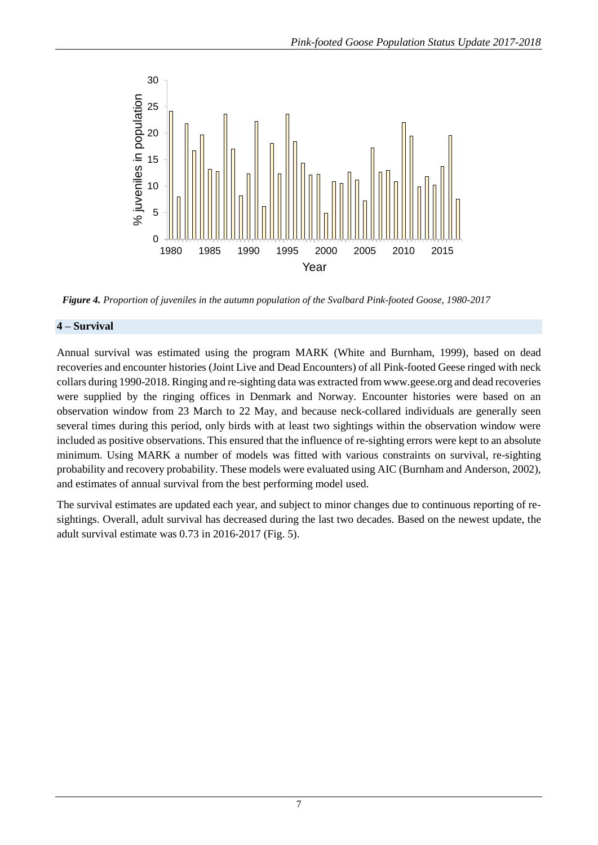

*Figure 4. Proportion of juveniles in the autumn population of the Svalbard Pink-footed Goose, 1980-2017*

# **4 – Survival**

Annual survival was estimated using the program MARK (White and Burnham, 1999), based on dead recoveries and encounter histories (Joint Live and Dead Encounters) of all Pink-footed Geese ringed with neck collars during 1990-2018. Ringing and re-sighting data was extracted from www.geese.org and dead recoveries were supplied by the ringing offices in Denmark and Norway. Encounter histories were based on an observation window from 23 March to 22 May, and because neck-collared individuals are generally seen several times during this period, only birds with at least two sightings within the observation window were included as positive observations. This ensured that the influence of re-sighting errors were kept to an absolute minimum. Using MARK a number of models was fitted with various constraints on survival, re-sighting probability and recovery probability. These models were evaluated using AIC (Burnham and Anderson, 2002), and estimates of annual survival from the best performing model used.

The survival estimates are updated each year, and subject to minor changes due to continuous reporting of resightings. Overall, adult survival has decreased during the last two decades. Based on the newest update, the adult survival estimate was 0.73 in 2016-2017 (Fig. 5).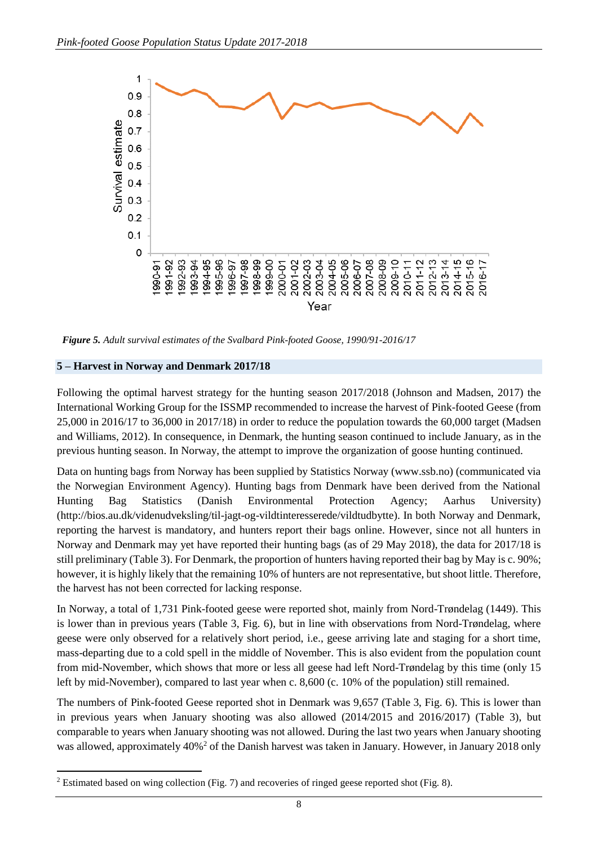

*Figure 5. Adult survival estimates of the Svalbard Pink-footed Goose, 1990/91-2016/17*

## **5 – Harvest in Norway and Denmark 2017/18**

**.** 

Following the optimal harvest strategy for the hunting season 2017/2018 (Johnson and Madsen, 2017) the International Working Group for the ISSMP recommended to increase the harvest of Pink-footed Geese (from 25,000 in 2016/17 to 36,000 in 2017/18) in order to reduce the population towards the 60,000 target (Madsen and Williams, 2012). In consequence, in Denmark, the hunting season continued to include January, as in the previous hunting season. In Norway, the attempt to improve the organization of goose hunting continued.

Data on hunting bags from Norway has been supplied by Statistics Norway (www.ssb.no) (communicated via the Norwegian Environment Agency). Hunting bags from Denmark have been derived from the National Hunting Bag Statistics (Danish Environmental Protection Agency; Aarhus University) (http://bios.au.dk/videnudveksling/til-jagt-og-vildtinteresserede/vildtudbytte). In both Norway and Denmark, reporting the harvest is mandatory, and hunters report their bags online. However, since not all hunters in Norway and Denmark may yet have reported their hunting bags (as of 29 May 2018), the data for 2017/18 is still preliminary (Table 3). For Denmark, the proportion of hunters having reported their bag by May is c. 90%; however, it is highly likely that the remaining 10% of hunters are not representative, but shoot little. Therefore, the harvest has not been corrected for lacking response.

In Norway, a total of 1,731 Pink-footed geese were reported shot, mainly from Nord-Trøndelag (1449). This is lower than in previous years (Table 3, Fig. 6), but in line with observations from Nord-Trøndelag, where geese were only observed for a relatively short period, i.e., geese arriving late and staging for a short time, mass-departing due to a cold spell in the middle of November. This is also evident from the population count from mid-November, which shows that more or less all geese had left Nord-Trøndelag by this time (only 15 left by mid-November), compared to last year when c. 8,600 (c. 10% of the population) still remained.

The numbers of Pink-footed Geese reported shot in Denmark was 9,657 (Table 3, Fig. 6). This is lower than in previous years when January shooting was also allowed (2014/2015 and 2016/2017) (Table 3), but comparable to years when January shooting was not allowed. During the last two years when January shooting was allowed, approximately 40%<sup>2</sup> of the Danish harvest was taken in January. However, in January 2018 only

<sup>2</sup> Estimated based on wing collection (Fig. 7) and recoveries of ringed geese reported shot (Fig. 8).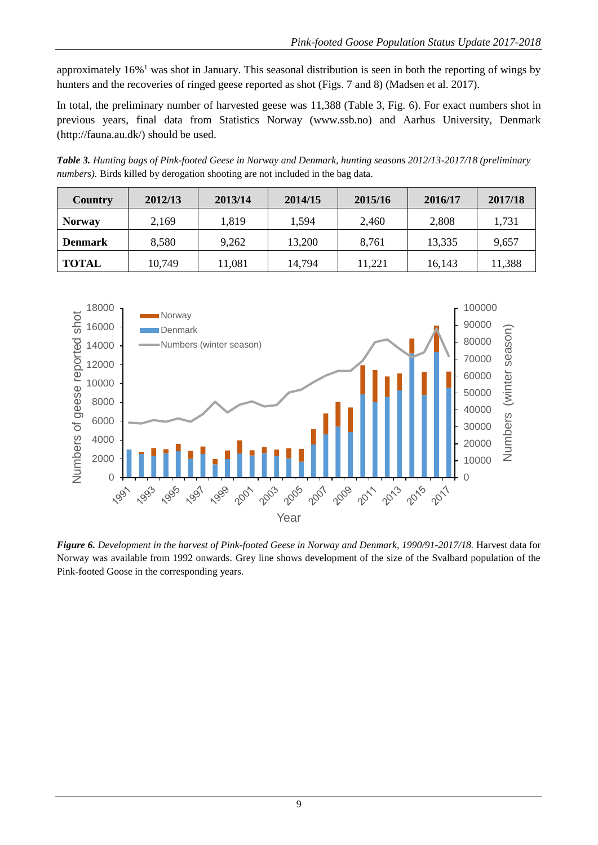approximately 16%<sup>1</sup> was shot in January. This seasonal distribution is seen in both the reporting of wings by hunters and the recoveries of ringed geese reported as shot (Figs. 7 and 8) (Madsen et al. 2017).

In total, the preliminary number of harvested geese was 11,388 (Table 3, Fig. 6). For exact numbers shot in previous years, final data from Statistics Norway (www.ssb.no) and Aarhus University, Denmark (http://fauna.au.dk/) should be used.

*Table 3. Hunting bags of Pink-footed Geese in Norway and Denmark, hunting seasons 2012/13-2017/18 (preliminary numbers).* Birds killed by derogation shooting are not included in the bag data.

| Country        | 2012/13 | 2013/14 | 2014/15 | 2015/16 | 2016/17 | 2017/18 |
|----------------|---------|---------|---------|---------|---------|---------|
| <b>Norway</b>  | 2,169   | 1,819   | 1,594   | 2,460   | 2,808   | 1,731   |
| <b>Denmark</b> | 8,580   | 9,262   | 13,200  | 8,761   | 13,335  | 9,657   |
| <b>TOTAL</b>   | 10,749  | 1,081   | 14,794  | 11,221  | 16,143  | 11,388  |



*Figure 6. Development in the harvest of Pink-footed Geese in Norway and Denmark, 1990/91-2017/18. Harvest data for* Norway was available from 1992 onwards. Grey line shows development of the size of the Svalbard population of the Pink-footed Goose in the corresponding years.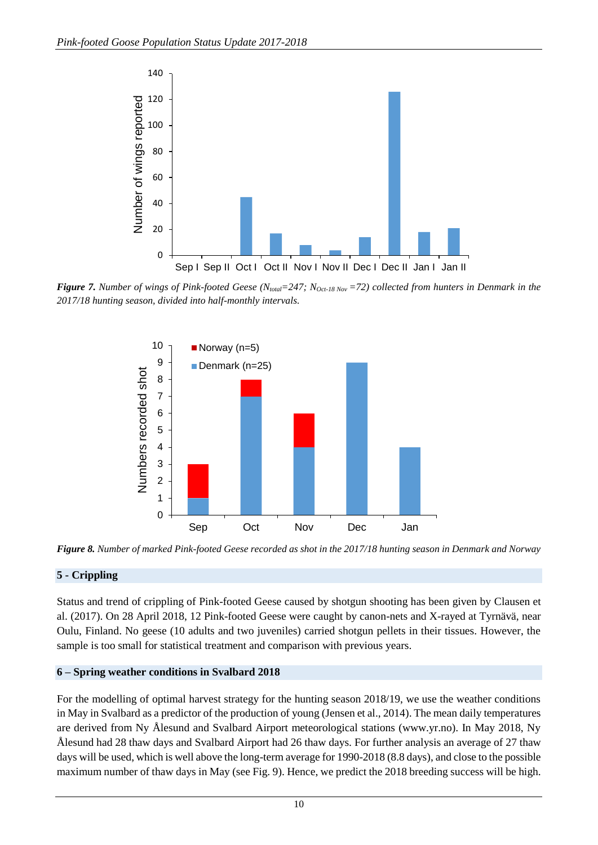

*Figure 7. Number of wings of Pink-footed Geese (Ntotal=247; NOct-18 Nov =72) collected from hunters in Denmark in the 2017/18 hunting season, divided into half-monthly intervals.*



*Figure 8. Number of marked Pink-footed Geese recorded as shot in the 2017/18 hunting season in Denmark and Norway*

## **5 - Crippling**

Status and trend of crippling of Pink-footed Geese caused by shotgun shooting has been given by Clausen et al. (2017). On 28 April 2018, 12 Pink-footed Geese were caught by canon-nets and X-rayed at Tyrnävä, near Oulu, Finland. No geese (10 adults and two juveniles) carried shotgun pellets in their tissues. However, the sample is too small for statistical treatment and comparison with previous years.

## **6 – Spring weather conditions in Svalbard 2018**

For the modelling of optimal harvest strategy for the hunting season 2018/19, we use the weather conditions in May in Svalbard as a predictor of the production of young (Jensen et al., 2014). The mean daily temperatures are derived from Ny Ålesund and Svalbard Airport meteorological stations (www.yr.no). In May 2018, Ny Ålesund had 28 thaw days and Svalbard Airport had 26 thaw days. For further analysis an average of 27 thaw days will be used, which is well above the long-term average for 1990-2018 (8.8 days), and close to the possible maximum number of thaw days in May (see Fig. 9). Hence, we predict the 2018 breeding success will be high.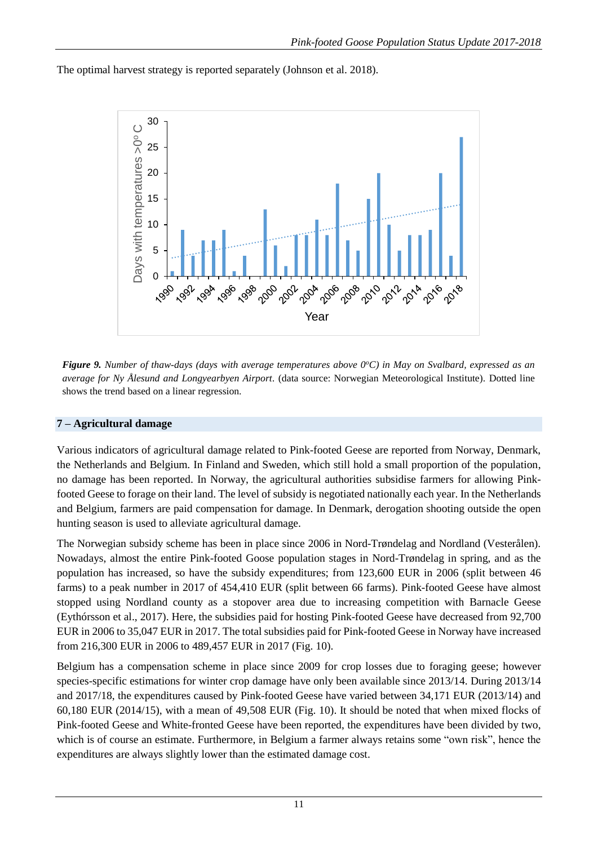The optimal harvest strategy is reported separately (Johnson et al. 2018).



*Figure 9. Number of thaw-days (days with average temperatures above 0<sup>o</sup>C) in May on Svalbard, expressed as an average for Ny Ålesund and Longyearbyen Airport.* (data source: Norwegian Meteorological Institute). Dotted line shows the trend based on a linear regression.

# **7 – Agricultural damage**

Various indicators of agricultural damage related to Pink-footed Geese are reported from Norway, Denmark, the Netherlands and Belgium. In Finland and Sweden, which still hold a small proportion of the population, no damage has been reported. In Norway, the agricultural authorities subsidise farmers for allowing Pinkfooted Geese to forage on their land. The level of subsidy is negotiated nationally each year. In the Netherlands and Belgium, farmers are paid compensation for damage. In Denmark, derogation shooting outside the open hunting season is used to alleviate agricultural damage.

The Norwegian subsidy scheme has been in place since 2006 in Nord-Trøndelag and Nordland (Vesterålen). Nowadays, almost the entire Pink-footed Goose population stages in Nord-Trøndelag in spring, and as the population has increased, so have the subsidy expenditures; from 123,600 EUR in 2006 (split between 46 farms) to a peak number in 2017 of 454,410 EUR (split between 66 farms). Pink-footed Geese have almost stopped using Nordland county as a stopover area due to increasing competition with Barnacle Geese (Eythórsson et al., 2017). Here, the subsidies paid for hosting Pink-footed Geese have decreased from 92,700 EUR in 2006 to 35,047 EUR in 2017. The total subsidies paid for Pink-footed Geese in Norway have increased from 216,300 EUR in 2006 to 489,457 EUR in 2017 (Fig. 10).

Belgium has a compensation scheme in place since 2009 for crop losses due to foraging geese; however species-specific estimations for winter crop damage have only been available since 2013/14. During 2013/14 and 2017/18, the expenditures caused by Pink-footed Geese have varied between 34,171 EUR (2013/14) and 60,180 EUR (2014/15), with a mean of 49,508 EUR (Fig. 10). It should be noted that when mixed flocks of Pink-footed Geese and White-fronted Geese have been reported, the expenditures have been divided by two, which is of course an estimate. Furthermore, in Belgium a farmer always retains some "own risk", hence the expenditures are always slightly lower than the estimated damage cost.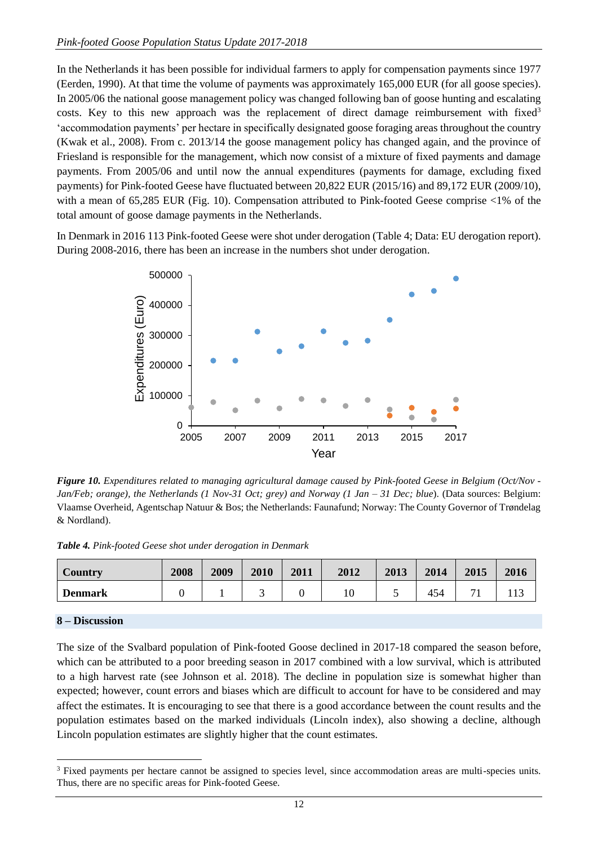In the Netherlands it has been possible for individual farmers to apply for compensation payments since 1977 (Eerden, 1990). At that time the volume of payments was approximately 165,000 EUR (for all goose species). In 2005/06 the national goose management policy was changed following ban of goose hunting and escalating costs. Key to this new approach was the replacement of direct damage reimbursement with fixed<sup>3</sup> 'accommodation payments' per hectare in specifically designated goose foraging areas throughout the country (Kwak et al., 2008). From c. 2013/14 the goose management policy has changed again, and the province of Friesland is responsible for the management, which now consist of a mixture of fixed payments and damage payments. From 2005/06 and until now the annual expenditures (payments for damage, excluding fixed payments) for Pink-footed Geese have fluctuated between 20,822 EUR (2015/16) and 89,172 EUR (2009/10), with a mean of 65,285 EUR (Fig. 10). Compensation attributed to Pink-footed Geese comprise <1% of the total amount of goose damage payments in the Netherlands.

In Denmark in 2016 113 Pink-footed Geese were shot under derogation (Table 4; Data: EU derogation report). During 2008-2016, there has been an increase in the numbers shot under derogation.



*Figure 10. Expenditures related to managing agricultural damage caused by Pink-footed Geese in Belgium (Oct/Nov - Jan/Feb; orange), the Netherlands (1 Nov-31 Oct; grey) and Norway (1 Jan – 31 Dec; blue*). (Data sources: Belgium: Vlaamse Overheid, Agentschap Natuur & Bos; the Netherlands: Faunafund; Norway: The County Governor of Trøndelag & Nordland).

*Table 4. Pink-footed Geese shot under derogation in Denmark*

| Country        | 2008 | 2009 | 2010 | 2011 | 2012 | 2013 | 2014 | 2015 | 2016  |
|----------------|------|------|------|------|------|------|------|------|-------|
| <b>Denmark</b> |      |      |      |      |      |      | 454  |      | 1 I J |

## **8 – Discussion**

1

The size of the Svalbard population of Pink-footed Goose declined in 2017-18 compared the season before, which can be attributed to a poor breeding season in 2017 combined with a low survival, which is attributed to a high harvest rate (see Johnson et al. 2018). The decline in population size is somewhat higher than expected; however, count errors and biases which are difficult to account for have to be considered and may affect the estimates. It is encouraging to see that there is a good accordance between the count results and the population estimates based on the marked individuals (Lincoln index), also showing a decline, although Lincoln population estimates are slightly higher that the count estimates.

<sup>3</sup> Fixed payments per hectare cannot be assigned to species level, since accommodation areas are multi-species units. Thus, there are no specific areas for Pink-footed Geese.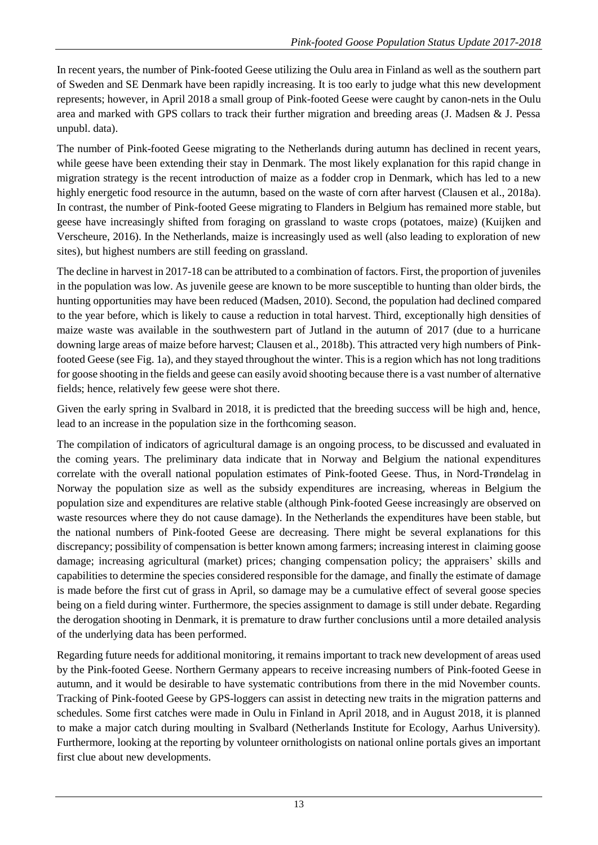In recent years, the number of Pink-footed Geese utilizing the Oulu area in Finland as well as the southern part of Sweden and SE Denmark have been rapidly increasing. It is too early to judge what this new development represents; however, in April 2018 a small group of Pink-footed Geese were caught by canon-nets in the Oulu area and marked with GPS collars to track their further migration and breeding areas (J. Madsen & J. Pessa unpubl. data).

The number of Pink-footed Geese migrating to the Netherlands during autumn has declined in recent years, while geese have been extending their stay in Denmark. The most likely explanation for this rapid change in migration strategy is the recent introduction of maize as a fodder crop in Denmark, which has led to a new highly energetic food resource in the autumn, based on the waste of corn after harvest (Clausen et al., 2018a). In contrast, the number of Pink-footed Geese migrating to Flanders in Belgium has remained more stable, but geese have increasingly shifted from foraging on grassland to waste crops (potatoes, maize) (Kuijken and Verscheure, 2016). In the Netherlands, maize is increasingly used as well (also leading to exploration of new sites), but highest numbers are still feeding on grassland.

The decline in harvest in 2017-18 can be attributed to a combination of factors. First, the proportion of juveniles in the population was low. As juvenile geese are known to be more susceptible to hunting than older birds, the hunting opportunities may have been reduced (Madsen, 2010). Second, the population had declined compared to the year before, which is likely to cause a reduction in total harvest. Third, exceptionally high densities of maize waste was available in the southwestern part of Jutland in the autumn of 2017 (due to a hurricane downing large areas of maize before harvest; Clausen et al., 2018b). This attracted very high numbers of Pinkfooted Geese (see Fig. 1a), and they stayed throughout the winter. This is a region which has not long traditions for goose shooting in the fields and geese can easily avoid shooting because there is a vast number of alternative fields; hence, relatively few geese were shot there.

Given the early spring in Svalbard in 2018, it is predicted that the breeding success will be high and, hence, lead to an increase in the population size in the forthcoming season.

The compilation of indicators of agricultural damage is an ongoing process, to be discussed and evaluated in the coming years. The preliminary data indicate that in Norway and Belgium the national expenditures correlate with the overall national population estimates of Pink-footed Geese. Thus, in Nord-Trøndelag in Norway the population size as well as the subsidy expenditures are increasing, whereas in Belgium the population size and expenditures are relative stable (although Pink-footed Geese increasingly are observed on waste resources where they do not cause damage). In the Netherlands the expenditures have been stable, but the national numbers of Pink-footed Geese are decreasing. There might be several explanations for this discrepancy; possibility of compensation is better known among farmers; increasing interest in claiming goose damage; increasing agricultural (market) prices; changing compensation policy; the appraisers' skills and capabilities to determine the species considered responsible for the damage, and finally the estimate of damage is made before the first cut of grass in April, so damage may be a cumulative effect of several goose species being on a field during winter. Furthermore, the species assignment to damage is still under debate. Regarding the derogation shooting in Denmark, it is premature to draw further conclusions until a more detailed analysis of the underlying data has been performed.

Regarding future needs for additional monitoring, it remains important to track new development of areas used by the Pink-footed Geese. Northern Germany appears to receive increasing numbers of Pink-footed Geese in autumn, and it would be desirable to have systematic contributions from there in the mid November counts. Tracking of Pink-footed Geese by GPS-loggers can assist in detecting new traits in the migration patterns and schedules. Some first catches were made in Oulu in Finland in April 2018, and in August 2018, it is planned to make a major catch during moulting in Svalbard (Netherlands Institute for Ecology, Aarhus University). Furthermore, looking at the reporting by volunteer ornithologists on national online portals gives an important first clue about new developments.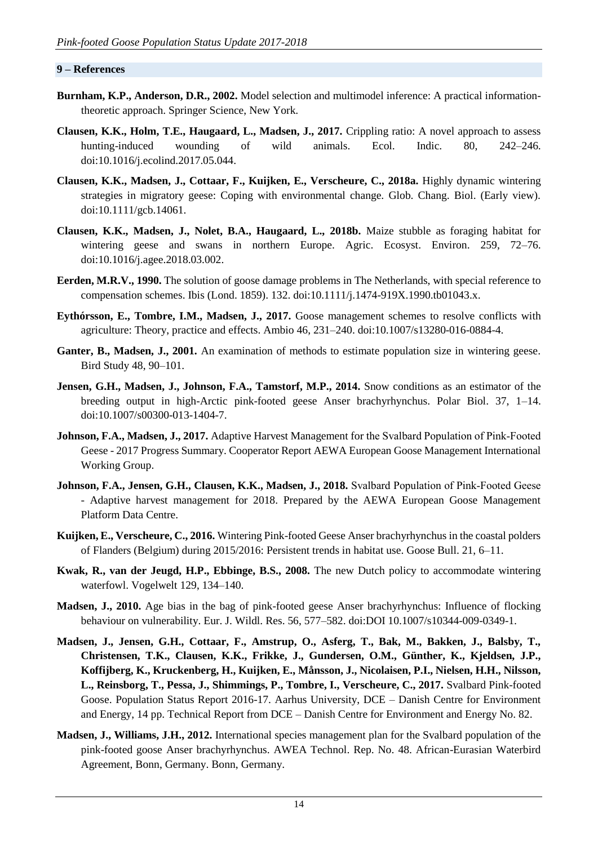#### **9 – References**

- **Burnham, K.P., Anderson, D.R., 2002.** Model selection and multimodel inference: A practical informationtheoretic approach. Springer Science, New York.
- **Clausen, K.K., Holm, T.E., Haugaard, L., Madsen, J., 2017.** Crippling ratio: A novel approach to assess hunting-induced wounding of wild animals. Ecol. Indic. 80, 242–246. doi:10.1016/j.ecolind.2017.05.044.
- **Clausen, K.K., Madsen, J., Cottaar, F., Kuijken, E., Verscheure, C., 2018a.** Highly dynamic wintering strategies in migratory geese: Coping with environmental change. Glob. Chang. Biol. (Early view). doi:10.1111/gcb.14061.
- **Clausen, K.K., Madsen, J., Nolet, B.A., Haugaard, L., 2018b.** Maize stubble as foraging habitat for wintering geese and swans in northern Europe. Agric. Ecosyst. Environ. 259, 72–76. doi:10.1016/j.agee.2018.03.002.
- **Eerden, M.R.V., 1990.** The solution of goose damage problems in The Netherlands, with special reference to compensation schemes. Ibis (Lond. 1859). 132. doi:10.1111/j.1474-919X.1990.tb01043.x.
- **Eythórsson, E., Tombre, I.M., Madsen, J., 2017.** Goose management schemes to resolve conflicts with agriculture: Theory, practice and effects. Ambio 46, 231–240. doi:10.1007/s13280-016-0884-4.
- Ganter, B., Madsen, J., 2001. An examination of methods to estimate population size in wintering geese. Bird Study 48, 90–101.
- **Jensen, G.H., Madsen, J., Johnson, F.A., Tamstorf, M.P., 2014.** Snow conditions as an estimator of the breeding output in high-Arctic pink-footed geese Anser brachyrhynchus. Polar Biol. 37, 1–14. doi:10.1007/s00300-013-1404-7.
- **Johnson, F.A., Madsen, J., 2017.** Adaptive Harvest Management for the Svalbard Population of Pink‐Footed Geese - 2017 Progress Summary. Cooperator Report AEWA European Goose Management International Working Group.
- **Johnson, F.A., Jensen, G.H., Clausen, K.K., Madsen, J., 2018.** Svalbard Population of Pink‐Footed Geese - Adaptive harvest management for 2018. Prepared by the AEWA European Goose Management Platform Data Centre.
- **Kuijken, E., Verscheure, C., 2016.** Wintering Pink-footed Geese Anser brachyrhynchus in the coastal polders of Flanders (Belgium) during 2015/2016: Persistent trends in habitat use. Goose Bull. 21, 6–11.
- **Kwak, R., van der Jeugd, H.P., Ebbinge, B.S., 2008.** The new Dutch policy to accommodate wintering waterfowl. Vogelwelt 129, 134–140.
- **Madsen, J., 2010.** Age bias in the bag of pink-footed geese Anser brachyrhynchus: Influence of flocking behaviour on vulnerability. Eur. J. Wildl. Res. 56, 577–582. doi:DOI 10.1007/s10344-009-0349-1.
- **Madsen, J., Jensen, G.H., Cottaar, F., Amstrup, O., Asferg, T., Bak, M., Bakken, J., Balsby, T., Christensen, T.K., Clausen, K.K., Frikke, J., Gundersen, O.M., Günther, K., Kjeldsen, J.P., Koffijberg, K., Kruckenberg, H., Kuijken, E., Månsson, J., Nicolaisen, P.I., Nielsen, H.H., Nilsson, L., Reinsborg, T., Pessa, J., Shimmings, P., Tombre, I., Verscheure, C., 2017.** Svalbard Pink-footed Goose. Population Status Report 2016-17. Aarhus University, DCE – Danish Centre for Environment and Energy, 14 pp. Technical Report from DCE – Danish Centre for Environment and Energy No. 82.
- **Madsen, J., Williams, J.H., 2012.** International species management plan for the Svalbard population of the pink-footed goose Anser brachyrhynchus. AWEA Technol. Rep. No. 48. African-Eurasian Waterbird Agreement, Bonn, Germany. Bonn, Germany.